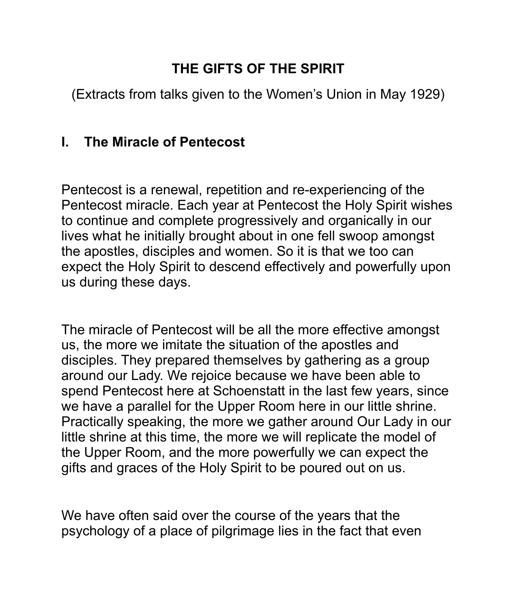# **THE GIFTS OF THE SPIRIT**

(Extracts from talks given to the Women's Union in May 1929)

## **I. The Miracle of Pentecost**

Pentecost is a renewal, repetition and re-experiencing of the Pentecost miracle. Each year at Pentecost the Holy Spirit wishes to continue and complete progressively and organically in our lives what he initially brought about in one fell swoop amongst the apostles, disciples and women. So it is that we too can expect the Holy Spirit to descend effectively and powerfully upon us during these days.

The miracle of Pentecost will be all the more effective amongst us, the more we imitate the situation of the apostles and disciples. They prepared themselves by gathering as a group around our Lady. We rejoice because we have been able to spend Pentecost here at Schoenstatt in the last few years, since we have a parallel for the Upper Room here in our little shrine. Practically speaking, the more we gather around Our Lady in our little shrine at this time, the more we will replicate the model of the Upper Room, and the more powerfully we can expect the gifts and graces of the Holy Spirit to be poured out on us.

We have often said over the course of the years that the psychology of a place of pilgrimage lies in the fact that even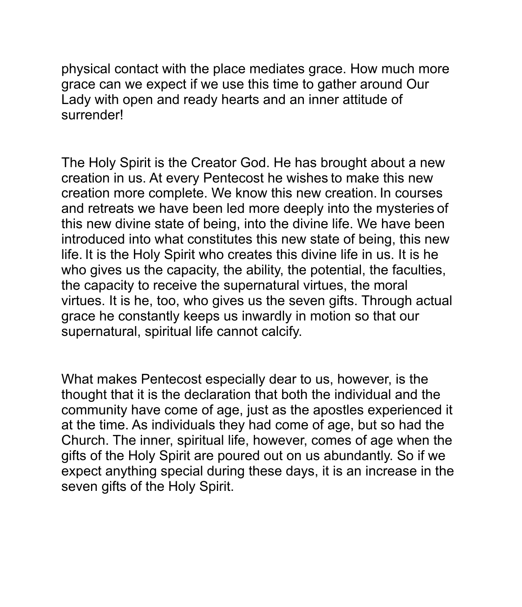physical contact with the place mediates grace. How much more grace can we expect if we use this time to gather around Our Lady with open and ready hearts and an inner attitude of surrender!

The Holy Spirit is the Creator God. He has brought about a new creation in us. At every Pentecost he wishes to make this new creation more complete. We know this new creation. In courses and retreats we have been led more deeply into the mysteries of this new divine state of being, into the divine life. We have been introduced into what constitutes this new state of being, this new life. It is the Holy Spirit who creates this divine life in us. It is he who gives us the capacity, the ability, the potential, the faculties, the capacity to receive the supernatural virtues, the moral virtues. It is he, too, who gives us the seven gifts. Through actual grace he constantly keeps us inwardly in motion so that our supernatural, spiritual life cannot calcify.

What makes Pentecost especially dear to us, however, is the thought that it is the declaration that both the individual and the community have come of age, just as the apostles experienced it at the time. As individuals they had come of age, but so had the Church. The inner, spiritual life, however, comes of age when the gifts of the Holy Spirit are poured out on us abundantly. So if we expect anything special during these days, it is an increase in the seven gifts of the Holy Spirit.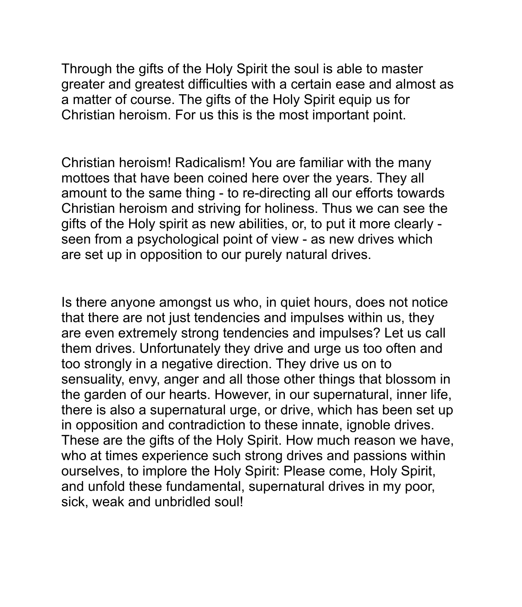Through the gifts of the Holy Spirit the soul is able to master greater and greatest difficulties with a certain ease and almost as a matter of course. The gifts of the Holy Spirit equip us for Christian heroism. For us this is the most important point.

Christian heroism! Radicalism! You are familiar with the many mottoes that have been coined here over the years. They all amount to the same thing - to re-directing all our efforts towards Christian heroism and striving for holiness. Thus we can see the gifts of the Holy spirit as new abilities, or, to put it more clearly seen from a psychological point of view - as new drives which are set up in opposition to our purely natural drives.

Is there anyone amongst us who, in quiet hours, does not notice that there are not just tendencies and impulses within us, they are even extremely strong tendencies and impulses? Let us call them drives. Unfortunately they drive and urge us too often and too strongly in a negative direction. They drive us on to sensuality, envy, anger and all those other things that blossom in the garden of our hearts. However, in our supernatural, inner life, there is also a supernatural urge, or drive, which has been set up in opposition and contradiction to these innate, ignoble drives. These are the gifts of the Holy Spirit. How much reason we have, who at times experience such strong drives and passions within ourselves, to implore the Holy Spirit: Please come, Holy Spirit, and unfold these fundamental, supernatural drives in my poor, sick, weak and unbridled soul!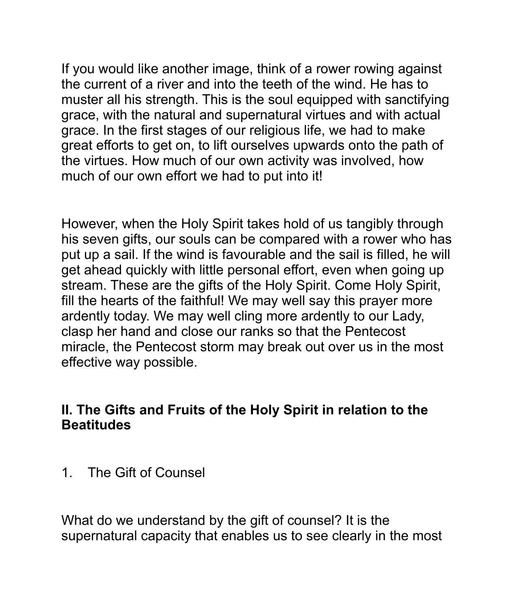If you would like another image, think of a rower rowing against the current of a river and into the teeth of the wind. He has to muster all his strength. This is the soul equipped with sanctifying grace, with the natural and supernatural virtues and with actual grace. In the first stages of our religious life, we had to make great efforts to get on, to lift ourselves upwards onto the path of the virtues. How much of our own activity was involved, how much of our own effort we had to put into it!

However, when the Holy Spirit takes hold of us tangibly through his seven gifts, our souls can be compared with a rower who has put up a sail. If the wind is favourable and the sail is filled, he will get ahead quickly with little personal effort, even when going up stream. These are the gifts of the Holy Spirit. Come Holy Spirit, fill the hearts of the faithful! We may well say this prayer more ardently today. We may well cling more ardently to our Lady, clasp her hand and close our ranks so that the Pentecost miracle, the Pentecost storm may break out over us in the most effective way possible.

#### **II. The Gifts and Fruits of the Holy Spirit in relation to the Beatitudes**

1. The Gift of Counsel

What do we understand by the gift of counsel? It is the supernatural capacity that enables us to see clearly in the most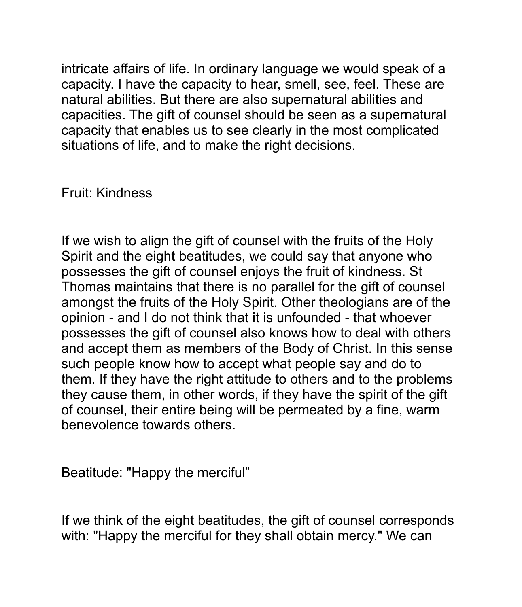intricate affairs of life. In ordinary language we would speak of a capacity. I have the capacity to hear, smell, see, feel. These are natural abilities. But there are also supernatural abilities and capacities. The gift of counsel should be seen as a supernatural capacity that enables us to see clearly in the most complicated situations of life, and to make the right decisions.

Fruit: Kindness

If we wish to align the gift of counsel with the fruits of the Holy Spirit and the eight beatitudes, we could say that anyone who possesses the gift of counsel enjoys the fruit of kindness. St Thomas maintains that there is no parallel for the gift of counsel amongst the fruits of the Holy Spirit. Other theologians are of the opinion - and I do not think that it is unfounded - that whoever possesses the gift of counsel also knows how to deal with others and accept them as members of the Body of Christ. In this sense such people know how to accept what people say and do to them. If they have the right attitude to others and to the problems they cause them, in other words, if they have the spirit of the gift of counsel, their entire being will be permeated by a fine, warm benevolence towards others.

Beatitude: "Happy the merciful"

If we think of the eight beatitudes, the gift of counsel corresponds with: "Happy the merciful for they shall obtain mercy." We can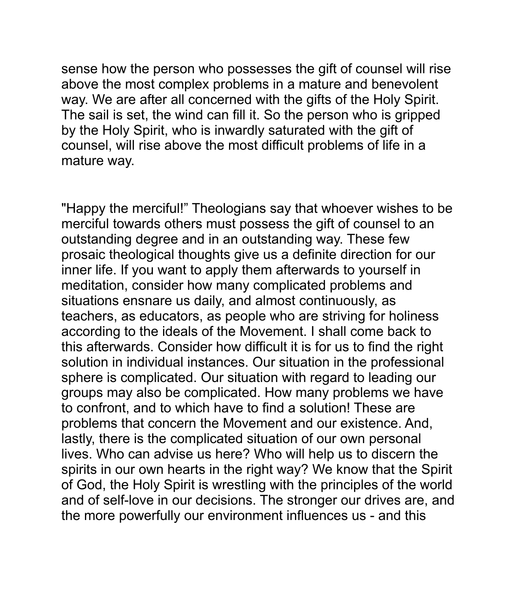sense how the person who possesses the gift of counsel will rise above the most complex problems in a mature and benevolent way. We are after all concerned with the gifts of the Holy Spirit. The sail is set, the wind can fill it. So the person who is gripped by the Holy Spirit, who is inwardly saturated with the gift of counsel, will rise above the most difficult problems of life in a mature way.

"Happy the merciful!" Theologians say that whoever wishes to be merciful towards others must possess the gift of counsel to an outstanding degree and in an outstanding way. These few prosaic theological thoughts give us a definite direction for our inner life. If you want to apply them afterwards to yourself in meditation, consider how many complicated problems and situations ensnare us daily, and almost continuously, as teachers, as educators, as people who are striving for holiness according to the ideals of the Movement. I shall come back to this afterwards. Consider how difficult it is for us to find the right solution in individual instances. Our situation in the professional sphere is complicated. Our situation with regard to leading our groups may also be complicated. How many problems we have to confront, and to which have to find a solution! These are problems that concern the Movement and our existence. And, lastly, there is the complicated situation of our own personal lives. Who can advise us here? Who will help us to discern the spirits in our own hearts in the right way? We know that the Spirit of God, the Holy Spirit is wrestling with the principles of the world and of self-love in our decisions. The stronger our drives are, and the more powerfully our environment influences us - and this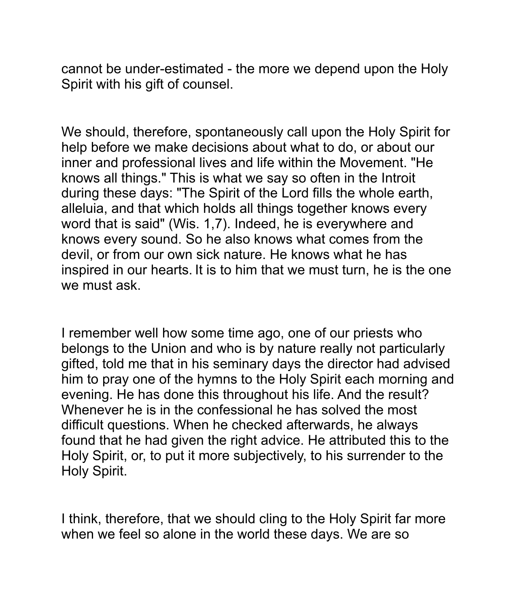cannot be under-estimated - the more we depend upon the Holy Spirit with his gift of counsel.

We should, therefore, spontaneously call upon the Holy Spirit for help before we make decisions about what to do, or about our inner and professional lives and life within the Movement. "He knows all things." This is what we say so often in the Introit during these days: "The Spirit of the Lord fills the whole earth, alleluia, and that which holds all things together knows every word that is said" (Wis. 1,7). Indeed, he is everywhere and knows every sound. So he also knows what comes from the devil, or from our own sick nature. He knows what he has inspired in our hearts. It is to him that we must turn, he is the one we must ask.

I remember well how some time ago, one of our priests who belongs to the Union and who is by nature really not particularly gifted, told me that in his seminary days the director had advised him to pray one of the hymns to the Holy Spirit each morning and evening. He has done this throughout his life. And the result? Whenever he is in the confessional he has solved the most difficult questions. When he checked afterwards, he always found that he had given the right advice. He attributed this to the Holy Spirit, or, to put it more subjectively, to his surrender to the Holy Spirit.

I think, therefore, that we should cling to the Holy Spirit far more when we feel so alone in the world these days. We are so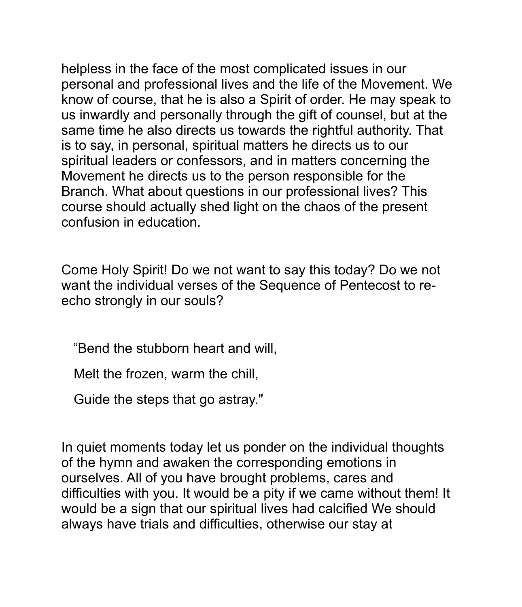helpless in the face of the most complicated issues in our personal and professional lives and the life of the Movement. We know of course, that he is also a Spirit of order. He may speak to us inwardly and personally through the gift of counsel, but at the same time he also directs us towards the rightful authority. That is to say, in personal, spiritual matters he directs us to our spiritual leaders or confessors, and in matters concerning the Movement he directs us to the person responsible for the Branch. What about questions in our professional lives? This course should actually shed light on the chaos of the present confusion in education.

Come Holy Spirit! Do we not want to say this today? Do we not want the individual verses of the Sequence of Pentecost to reecho strongly in our souls?

"Bend the stubborn heart and will,

Melt the frozen, warm the chill,

Guide the steps that go astray."

In quiet moments today let us ponder on the individual thoughts of the hymn and awaken the corresponding emotions in ourselves. All of you have brought problems, cares and difficulties with you. It would be a pity if we came without them! It would be a sign that our spiritual lives had calcified We should always have trials and difficulties, otherwise our stay at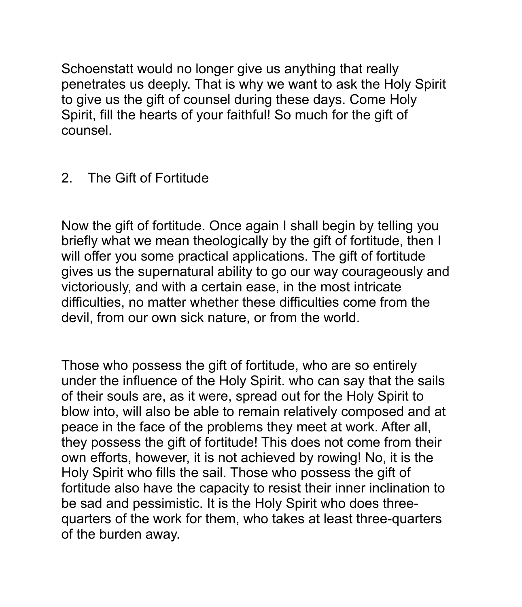Schoenstatt would no longer give us anything that really penetrates us deeply. That is why we want to ask the Holy Spirit to give us the gift of counsel during these days. Come Holy Spirit, fill the hearts of your faithful! So much for the gift of counsel.

## 2. The Gift of Fortitude

Now the gift of fortitude. Once again I shall begin by telling you briefly what we mean theologically by the gift of fortitude, then I will offer you some practical applications. The gift of fortitude gives us the supernatural ability to go our way courageously and victoriously, and with a certain ease, in the most intricate difficulties, no matter whether these difficulties come from the devil, from our own sick nature, or from the world.

Those who possess the gift of fortitude, who are so entirely under the influence of the Holy Spirit. who can say that the sails of their souls are, as it were, spread out for the Holy Spirit to blow into, will also be able to remain relatively composed and at peace in the face of the problems they meet at work. After all, they possess the gift of fortitude! This does not come from their own efforts, however, it is not achieved by rowing! No, it is the Holy Spirit who fills the sail. Those who possess the gift of fortitude also have the capacity to resist their inner inclination to be sad and pessimistic. It is the Holy Spirit who does threequarters of the work for them, who takes at least three-quarters of the burden away.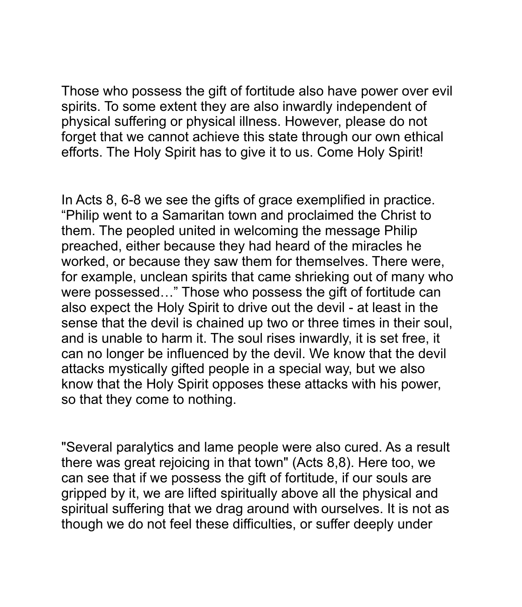Those who possess the gift of fortitude also have power over evil spirits. To some extent they are also inwardly independent of physical suffering or physical illness. However, please do not forget that we cannot achieve this state through our own ethical efforts. The Holy Spirit has to give it to us. Come Holy Spirit!

In Acts 8, 6-8 we see the gifts of grace exemplified in practice. "Philip went to a Samaritan town and proclaimed the Christ to them. The peopled united in welcoming the message Philip preached, either because they had heard of the miracles he worked, or because they saw them for themselves. There were, for example, unclean spirits that came shrieking out of many who were possessed…" Those who possess the gift of fortitude can also expect the Holy Spirit to drive out the devil - at least in the sense that the devil is chained up two or three times in their soul, and is unable to harm it. The soul rises inwardly, it is set free, it can no longer be influenced by the devil. We know that the devil attacks mystically gifted people in a special way, but we also know that the Holy Spirit opposes these attacks with his power, so that they come to nothing.

"Several paralytics and lame people were also cured. As a result there was great rejoicing in that town" (Acts 8,8). Here too, we can see that if we possess the gift of fortitude, if our souls are gripped by it, we are lifted spiritually above all the physical and spiritual suffering that we drag around with ourselves. It is not as though we do not feel these difficulties, or suffer deeply under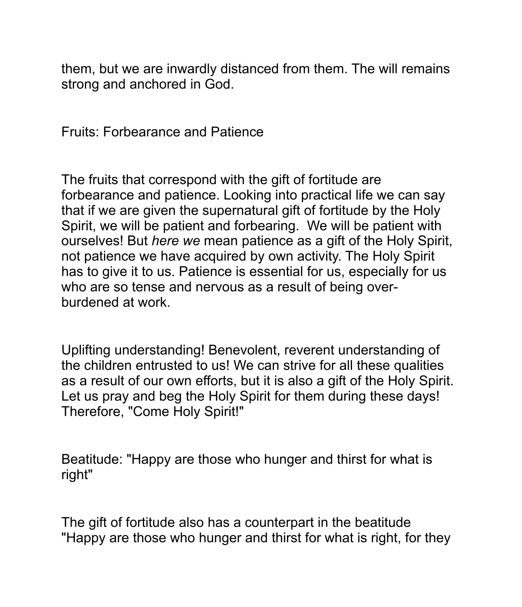them, but we are inwardly distanced from them. The will remains strong and anchored in God.

Fruits: Forbearance and Patience

The fruits that correspond with the gift of fortitude are forbearance and patience. Looking into practical life we can say that if we are given the supernatural gift of fortitude by the Holy Spirit, we will be patient and forbearing. We will be patient with ourselves! But *here we* mean patience as a gift of the Holy Spirit, not patience we have acquired by own activity. The Holy Spirit has to give it to us. Patience is essential for us, especially for us who are so tense and nervous as a result of being overburdened at work.

Uplifting understanding! Benevolent, reverent understanding of the children entrusted to us! We can strive for all these qualities as a result of our own efforts, but it is also a gift of the Holy Spirit. Let us pray and beg the Holy Spirit for them during these days! Therefore, "Come Holy Spirit!"

Beatitude: "Happy are those who hunger and thirst for what is right"

The gift of fortitude also has a counterpart in the beatitude "Happy are those who hunger and thirst for what is right, for they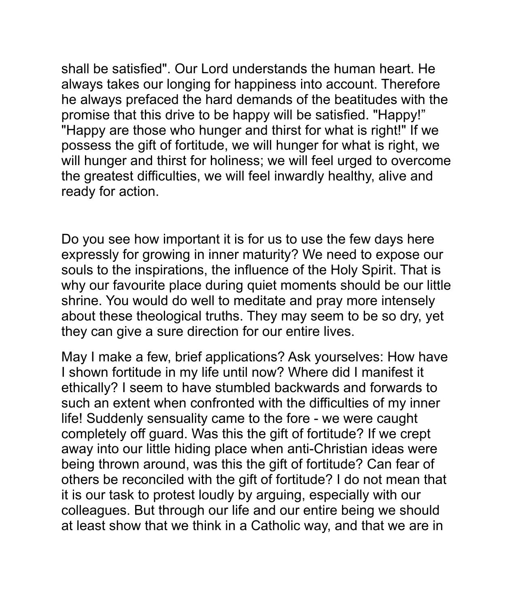shall be satisfied". Our Lord understands the human heart. He always takes our longing for happiness into account. Therefore he always prefaced the hard demands of the beatitudes with the promise that this drive to be happy will be satisfied. "Happy!" "Happy are those who hunger and thirst for what is right!" If we possess the gift of fortitude, we will hunger for what is right, we will hunger and thirst for holiness; we will feel urged to overcome the greatest difficulties, we will feel inwardly healthy, alive and ready for action.

Do you see how important it is for us to use the few days here expressly for growing in inner maturity? We need to expose our souls to the inspirations, the influence of the Holy Spirit. That is why our favourite place during quiet moments should be our little shrine. You would do well to meditate and pray more intensely about these theological truths. They may seem to be so dry, yet they can give a sure direction for our entire lives.

May I make a few, brief applications? Ask yourselves: How have I shown fortitude in my life until now? Where did I manifest it ethically? I seem to have stumbled backwards and forwards to such an extent when confronted with the difficulties of my inner life! Suddenly sensuality came to the fore - we were caught completely off guard. Was this the gift of fortitude? If we crept away into our little hiding place when anti-Christian ideas were being thrown around, was this the gift of fortitude? Can fear of others be reconciled with the gift of fortitude? I do not mean that it is our task to protest loudly by arguing, especially with our colleagues. But through our life and our entire being we should at least show that we think in a Catholic way, and that we are in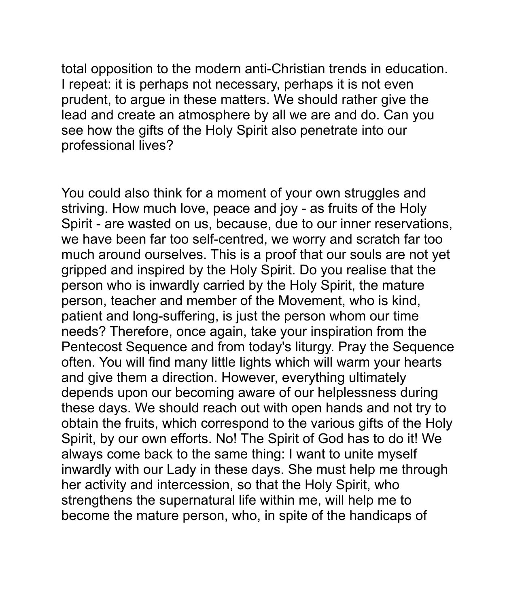total opposition to the modern anti-Christian trends in education. I repeat: it is perhaps not necessary, perhaps it is not even prudent, to argue in these matters. We should rather give the lead and create an atmosphere by all we are and do. Can you see how the gifts of the Holy Spirit also penetrate into our professional lives?

You could also think for a moment of your own struggles and striving. How much love, peace and joy - as fruits of the Holy Spirit - are wasted on us, because, due to our inner reservations, we have been far too self-centred, we worry and scratch far too much around ourselves. This is a proof that our souls are not yet gripped and inspired by the Holy Spirit. Do you realise that the person who is inwardly carried by the Holy Spirit, the mature person, teacher and member of the Movement, who is kind, patient and long-suffering, is just the person whom our time needs? Therefore, once again, take your inspiration from the Pentecost Sequence and from today's liturgy. Pray the Sequence often. You will find many little lights which will warm your hearts and give them a direction. However, everything ultimately depends upon our becoming aware of our helplessness during these days. We should reach out with open hands and not try to obtain the fruits, which correspond to the various gifts of the Holy Spirit, by our own efforts. No! The Spirit of God has to do it! We always come back to the same thing: I want to unite myself inwardly with our Lady in these days. She must help me through her activity and intercession, so that the Holy Spirit, who strengthens the supernatural life within me, will help me to become the mature person, who, in spite of the handicaps of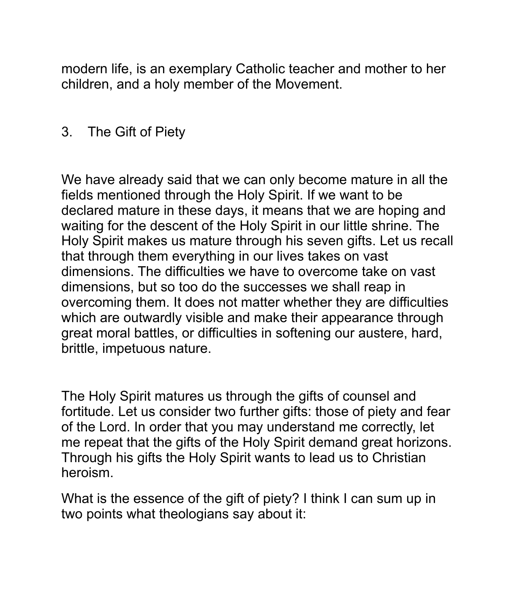modern life, is an exemplary Catholic teacher and mother to her children, and a holy member of the Movement.

#### 3. The Gift of Piety

We have already said that we can only become mature in all the fields mentioned through the Holy Spirit. If we want to be declared mature in these days, it means that we are hoping and waiting for the descent of the Holy Spirit in our little shrine. The Holy Spirit makes us mature through his seven gifts. Let us recall that through them everything in our lives takes on vast dimensions. The difficulties we have to overcome take on vast dimensions, but so too do the successes we shall reap in overcoming them. It does not matter whether they are difficulties which are outwardly visible and make their appearance through great moral battles, or difficulties in softening our austere, hard, brittle, impetuous nature.

The Holy Spirit matures us through the gifts of counsel and fortitude. Let us consider two further gifts: those of piety and fear of the Lord. In order that you may understand me correctly, let me repeat that the gifts of the Holy Spirit demand great horizons. Through his gifts the Holy Spirit wants to lead us to Christian heroism.

What is the essence of the gift of piety? I think I can sum up in two points what theologians say about it: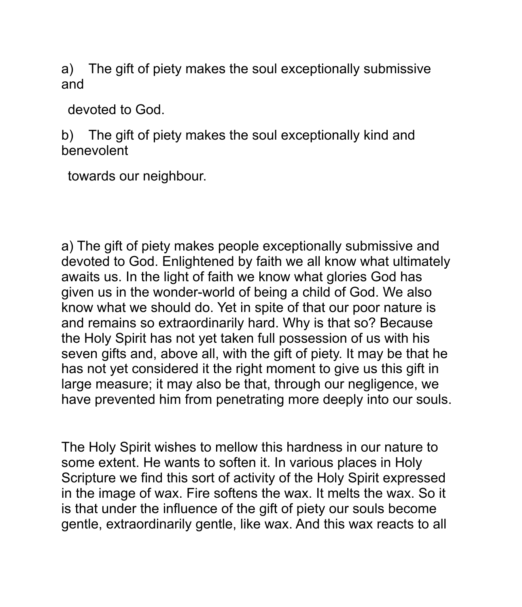a) The gift of piety makes the soul exceptionally submissive and

devoted to God.

b) The gift of piety makes the soul exceptionally kind and benevolent

towards our neighbour.

a) The gift of piety makes people exceptionally submissive and devoted to God. Enlightened by faith we all know what ultimately awaits us. In the light of faith we know what glories God has given us in the wonder-world of being a child of God. We also know what we should do. Yet in spite of that our poor nature is and remains so extraordinarily hard. Why is that so? Because the Holy Spirit has not yet taken full possession of us with his seven gifts and, above all, with the gift of piety. It may be that he has not yet considered it the right moment to give us this gift in large measure; it may also be that, through our negligence, we have prevented him from penetrating more deeply into our souls.

The Holy Spirit wishes to mellow this hardness in our nature to some extent. He wants to soften it. In various places in Holy Scripture we find this sort of activity of the Holy Spirit expressed in the image of wax. Fire softens the wax. It melts the wax. So it is that under the influence of the gift of piety our souls become gentle, extraordinarily gentle, like wax. And this wax reacts to all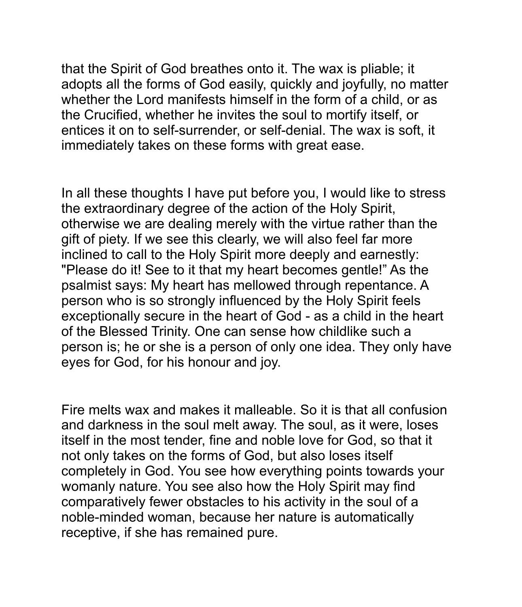that the Spirit of God breathes onto it. The wax is pliable; it adopts all the forms of God easily, quickly and joyfully, no matter whether the Lord manifests himself in the form of a child, or as the Crucified, whether he invites the soul to mortify itself, or entices it on to self-surrender, or self-denial. The wax is soft, it immediately takes on these forms with great ease.

In all these thoughts I have put before you, I would like to stress the extraordinary degree of the action of the Holy Spirit, otherwise we are dealing merely with the virtue rather than the gift of piety. If we see this clearly, we will also feel far more inclined to call to the Holy Spirit more deeply and earnestly: "Please do it! See to it that my heart becomes gentle!" As the psalmist says: My heart has mellowed through repentance. A person who is so strongly influenced by the Holy Spirit feels exceptionally secure in the heart of God - as a child in the heart of the Blessed Trinity. One can sense how childlike such a person is; he or she is a person of only one idea. They only have eyes for God, for his honour and joy.

Fire melts wax and makes it malleable. So it is that all confusion and darkness in the soul melt away. The soul, as it were, loses itself in the most tender, fine and noble love for God, so that it not only takes on the forms of God, but also loses itself completely in God. You see how everything points towards your womanly nature. You see also how the Holy Spirit may find comparatively fewer obstacles to his activity in the soul of a noble-minded woman, because her nature is automatically receptive, if she has remained pure.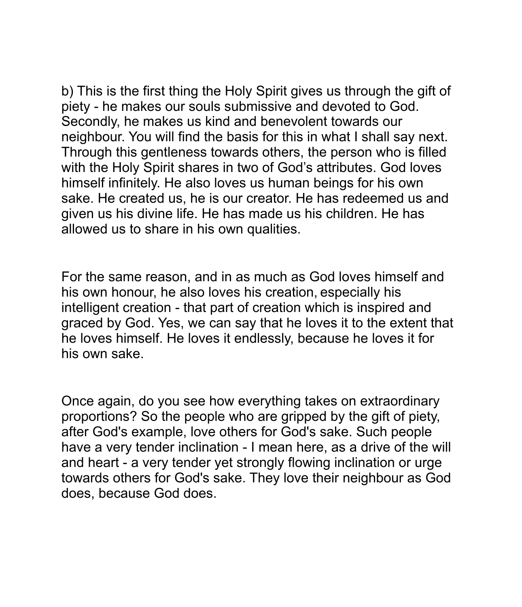b) This is the first thing the Holy Spirit gives us through the gift of piety - he makes our souls submissive and devoted to God. Secondly, he makes us kind and benevolent towards our neighbour. You will find the basis for this in what I shall say next. Through this gentleness towards others, the person who is filled with the Holy Spirit shares in two of God's attributes. God loves himself infinitely. He also loves us human beings for his own sake. He created us, he is our creator. He has redeemed us and given us his divine life. He has made us his children. He has allowed us to share in his own qualities.

For the same reason, and in as much as God loves himself and his own honour, he also loves his creation, especially his intelligent creation - that part of creation which is inspired and graced by God. Yes, we can say that he loves it to the extent that he loves himself. He loves it endlessly, because he loves it for his own sake.

Once again, do you see how everything takes on extraordinary proportions? So the people who are gripped by the gift of piety, after God's example, love others for God's sake. Such people have a very tender inclination - I mean here, as a drive of the will and heart - a very tender yet strongly flowing inclination or urge towards others for God's sake. They love their neighbour as God does, because God does.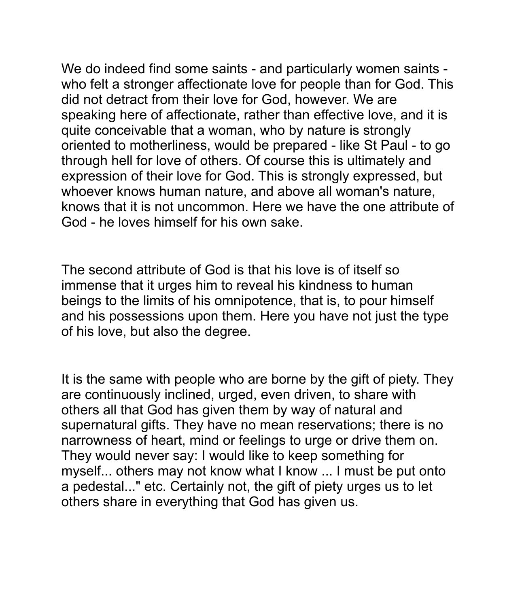We do indeed find some saints - and particularly women saints who felt a stronger affectionate love for people than for God. This did not detract from their love for God, however. We are speaking here of affectionate, rather than effective love, and it is quite conceivable that a woman, who by nature is strongly oriented to motherliness, would be prepared - like St Paul - to go through hell for love of others. Of course this is ultimately and expression of their love for God. This is strongly expressed, but whoever knows human nature, and above all woman's nature, knows that it is not uncommon. Here we have the one attribute of God - he loves himself for his own sake.

The second attribute of God is that his love is of itself so immense that it urges him to reveal his kindness to human beings to the limits of his omnipotence, that is, to pour himself and his possessions upon them. Here you have not just the type of his love, but also the degree.

It is the same with people who are borne by the gift of piety. They are continuously inclined, urged, even driven, to share with others all that God has given them by way of natural and supernatural gifts. They have no mean reservations; there is no narrowness of heart, mind or feelings to urge or drive them on. They would never say: I would like to keep something for myself... others may not know what I know ... I must be put onto a pedestal..." etc. Certainly not, the gift of piety urges us to let others share in everything that God has given us.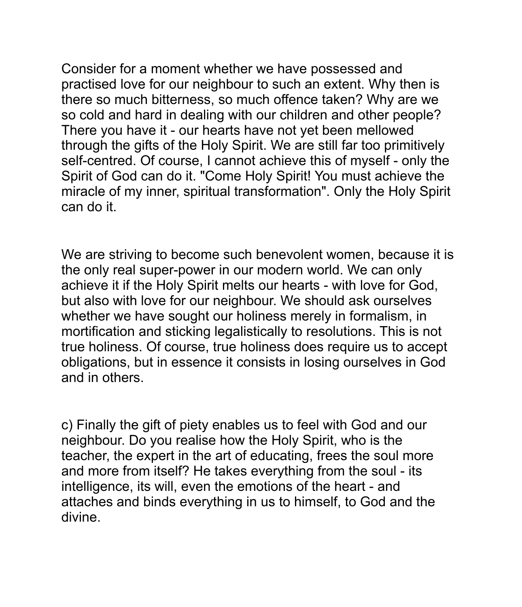Consider for a moment whether we have possessed and practised love for our neighbour to such an extent. Why then is there so much bitterness, so much offence taken? Why are we so cold and hard in dealing with our children and other people? There you have it - our hearts have not yet been mellowed through the gifts of the Holy Spirit. We are still far too primitively self-centred. Of course, I cannot achieve this of myself - only the Spirit of God can do it. "Come Holy Spirit! You must achieve the miracle of my inner, spiritual transformation". Only the Holy Spirit can do it.

We are striving to become such benevolent women, because it is the only real super-power in our modern world. We can only achieve it if the Holy Spirit melts our hearts - with love for God, but also with love for our neighbour. We should ask ourselves whether we have sought our holiness merely in formalism, in mortification and sticking legalistically to resolutions. This is not true holiness. Of course, true holiness does require us to accept obligations, but in essence it consists in losing ourselves in God and in others.

c) Finally the gift of piety enables us to feel with God and our neighbour. Do you realise how the Holy Spirit, who is the teacher, the expert in the art of educating, frees the soul more and more from itself? He takes everything from the soul - its intelligence, its will, even the emotions of the heart - and attaches and binds everything in us to himself, to God and the divine.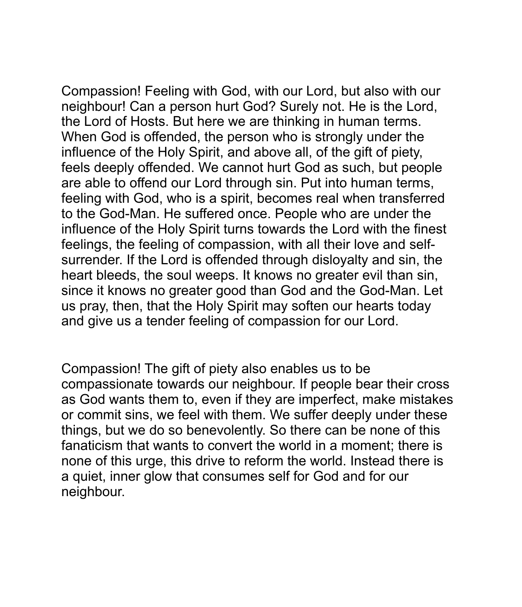Compassion! Feeling with God, with our Lord, but also with our neighbour! Can a person hurt God? Surely not. He is the Lord, the Lord of Hosts. But here we are thinking in human terms. When God is offended, the person who is strongly under the influence of the Holy Spirit, and above all, of the gift of piety, feels deeply offended. We cannot hurt God as such, but people are able to offend our Lord through sin. Put into human terms, feeling with God, who is a spirit, becomes real when transferred to the God-Man. He suffered once. People who are under the influence of the Holy Spirit turns towards the Lord with the finest feelings, the feeling of compassion, with all their love and selfsurrender. If the Lord is offended through disloyalty and sin, the heart bleeds, the soul weeps. It knows no greater evil than sin, since it knows no greater good than God and the God-Man. Let us pray, then, that the Holy Spirit may soften our hearts today and give us a tender feeling of compassion for our Lord.

Compassion! The gift of piety also enables us to be compassionate towards our neighbour. If people bear their cross as God wants them to, even if they are imperfect, make mistakes or commit sins, we feel with them. We suffer deeply under these things, but we do so benevolently. So there can be none of this fanaticism that wants to convert the world in a moment; there is none of this urge, this drive to reform the world. Instead there is a quiet, inner glow that consumes self for God and for our neighbour.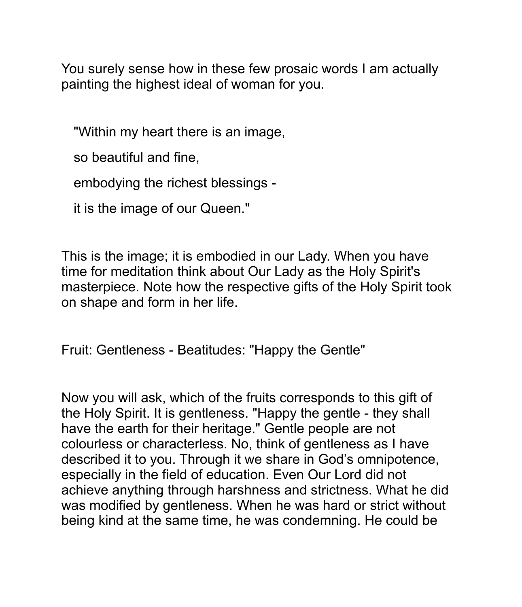You surely sense how in these few prosaic words I am actually painting the highest ideal of woman for you.

"Within my heart there is an image,

so beautiful and fine,

embodying the richest blessings -

it is the image of our Queen."

This is the image; it is embodied in our Lady. When you have time for meditation think about Our Lady as the Holy Spirit's masterpiece. Note how the respective gifts of the Holy Spirit took on shape and form in her life.

Fruit: Gentleness - Beatitudes: "Happy the Gentle"

Now you will ask, which of the fruits corresponds to this gift of the Holy Spirit. It is gentleness. "Happy the gentle - they shall have the earth for their heritage." Gentle people are not colourless or characterless. No, think of gentleness as I have described it to you. Through it we share in God's omnipotence, especially in the field of education. Even Our Lord did not achieve anything through harshness and strictness. What he did was modified by gentleness. When he was hard or strict without being kind at the same time, he was condemning. He could be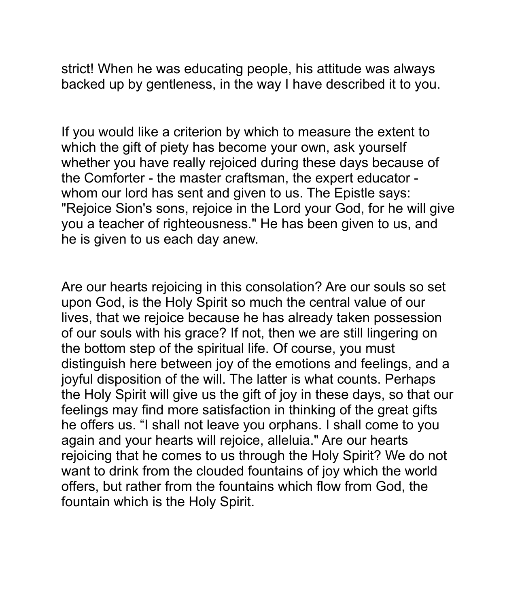strict! When he was educating people, his attitude was always backed up by gentleness, in the way I have described it to you.

If you would like a criterion by which to measure the extent to which the gift of piety has become your own, ask yourself whether you have really rejoiced during these days because of the Comforter - the master craftsman, the expert educator whom our lord has sent and given to us. The Epistle says: "Rejoice Sion's sons, rejoice in the Lord your God, for he will give you a teacher of righteousness." He has been given to us, and he is given to us each day anew.

Are our hearts rejoicing in this consolation? Are our souls so set upon God, is the Holy Spirit so much the central value of our lives, that we rejoice because he has already taken possession of our souls with his grace? If not, then we are still lingering on the bottom step of the spiritual life. Of course, you must distinguish here between joy of the emotions and feelings, and a joyful disposition of the will. The latter is what counts. Perhaps the Holy Spirit will give us the gift of joy in these days, so that our feelings may find more satisfaction in thinking of the great gifts he offers us. "I shall not leave you orphans. I shall come to you again and your hearts will rejoice, alleluia." Are our hearts rejoicing that he comes to us through the Holy Spirit? We do not want to drink from the clouded fountains of joy which the world offers, but rather from the fountains which flow from God, the fountain which is the Holy Spirit.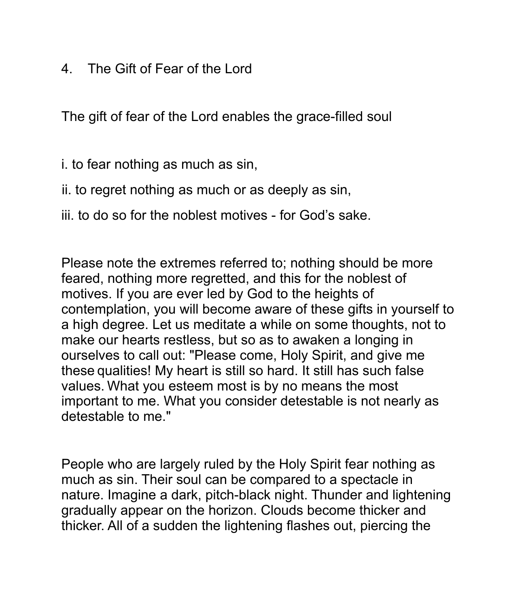4. The Gift of Fear of the Lord

The gift of fear of the Lord enables the grace-filled soul

i. to fear nothing as much as sin,

- ii. to regret nothing as much or as deeply as sin,
- iii. to do so for the noblest motives for God's sake.

Please note the extremes referred to; nothing should be more feared, nothing more regretted, and this for the noblest of motives. If you are ever led by God to the heights of contemplation, you will become aware of these gifts in yourself to a high degree. Let us meditate a while on some thoughts, not to make our hearts restless, but so as to awaken a longing in ourselves to call out: "Please come, Holy Spirit, and give me these qualities! My heart is still so hard. It still has such false values. What you esteem most is by no means the most important to me. What you consider detestable is not nearly as detestable to me."

People who are largely ruled by the Holy Spirit fear nothing as much as sin. Their soul can be compared to a spectacle in nature. Imagine a dark, pitch-black night. Thunder and lightening gradually appear on the horizon. Clouds become thicker and thicker. All of a sudden the lightening flashes out, piercing the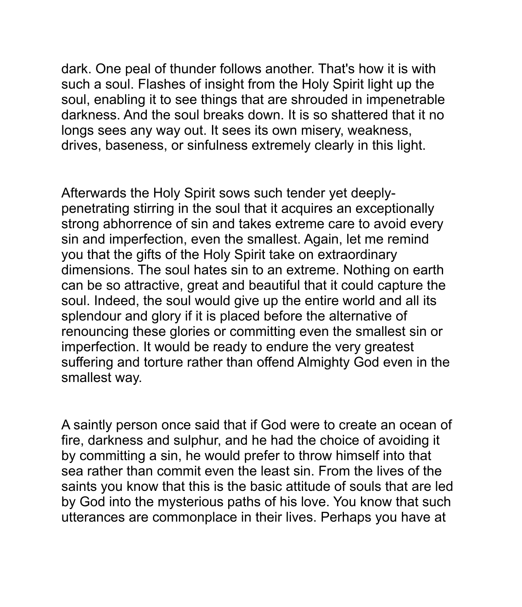dark. One peal of thunder follows another. That's how it is with such a soul. Flashes of insight from the Holy Spirit light up the soul, enabling it to see things that are shrouded in impenetrable darkness. And the soul breaks down. It is so shattered that it no longs sees any way out. It sees its own misery, weakness, drives, baseness, or sinfulness extremely clearly in this light.

Afterwards the Holy Spirit sows such tender yet deeplypenetrating stirring in the soul that it acquires an exceptionally strong abhorrence of sin and takes extreme care to avoid every sin and imperfection, even the smallest. Again, let me remind you that the gifts of the Holy Spirit take on extraordinary dimensions. The soul hates sin to an extreme. Nothing on earth can be so attractive, great and beautiful that it could capture the soul. Indeed, the soul would give up the entire world and all its splendour and glory if it is placed before the alternative of renouncing these glories or committing even the smallest sin or imperfection. It would be ready to endure the very greatest suffering and torture rather than offend Almighty God even in the smallest way.

A saintly person once said that if God were to create an ocean of fire, darkness and sulphur, and he had the choice of avoiding it by committing a sin, he would prefer to throw himself into that sea rather than commit even the least sin. From the lives of the saints you know that this is the basic attitude of souls that are led by God into the mysterious paths of his love. You know that such utterances are commonplace in their lives. Perhaps you have at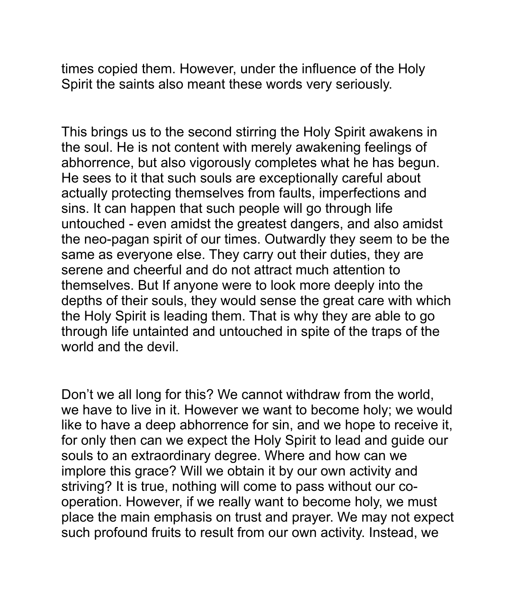times copied them. However, under the influence of the Holy Spirit the saints also meant these words very seriously.

This brings us to the second stirring the Holy Spirit awakens in the soul. He is not content with merely awakening feelings of abhorrence, but also vigorously completes what he has begun. He sees to it that such souls are exceptionally careful about actually protecting themselves from faults, imperfections and sins. It can happen that such people will go through life untouched - even amidst the greatest dangers, and also amidst the neo-pagan spirit of our times. Outwardly they seem to be the same as everyone else. They carry out their duties, they are serene and cheerful and do not attract much attention to themselves. But If anyone were to look more deeply into the depths of their souls, they would sense the great care with which the Holy Spirit is leading them. That is why they are able to go through life untainted and untouched in spite of the traps of the world and the devil.

Don't we all long for this? We cannot withdraw from the world, we have to live in it. However we want to become holy; we would like to have a deep abhorrence for sin, and we hope to receive it, for only then can we expect the Holy Spirit to lead and guide our souls to an extraordinary degree. Where and how can we implore this grace? Will we obtain it by our own activity and striving? It is true, nothing will come to pass without our cooperation. However, if we really want to become holy, we must place the main emphasis on trust and prayer. We may not expect such profound fruits to result from our own activity. Instead, we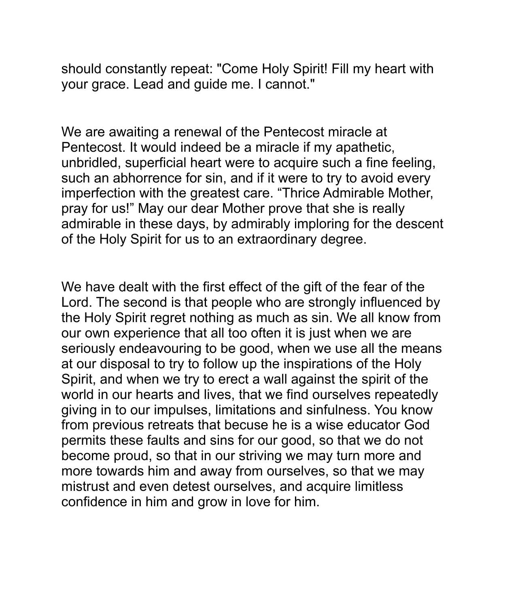should constantly repeat: "Come Holy Spirit! Fill my heart with your grace. Lead and guide me. I cannot."

We are awaiting a renewal of the Pentecost miracle at Pentecost. It would indeed be a miracle if my apathetic, unbridled, superficial heart were to acquire such a fine feeling, such an abhorrence for sin, and if it were to try to avoid every imperfection with the greatest care. "Thrice Admirable Mother, pray for us!" May our dear Mother prove that she is really admirable in these days, by admirably imploring for the descent of the Holy Spirit for us to an extraordinary degree.

We have dealt with the first effect of the gift of the fear of the Lord. The second is that people who are strongly influenced by the Holy Spirit regret nothing as much as sin. We all know from our own experience that all too often it is just when we are seriously endeavouring to be good, when we use all the means at our disposal to try to follow up the inspirations of the Holy Spirit, and when we try to erect a wall against the spirit of the world in our hearts and lives, that we find ourselves repeatedly giving in to our impulses, limitations and sinfulness. You know from previous retreats that becuse he is a wise educator God permits these faults and sins for our good, so that we do not become proud, so that in our striving we may turn more and more towards him and away from ourselves, so that we may mistrust and even detest ourselves, and acquire limitless confidence in him and grow in love for him.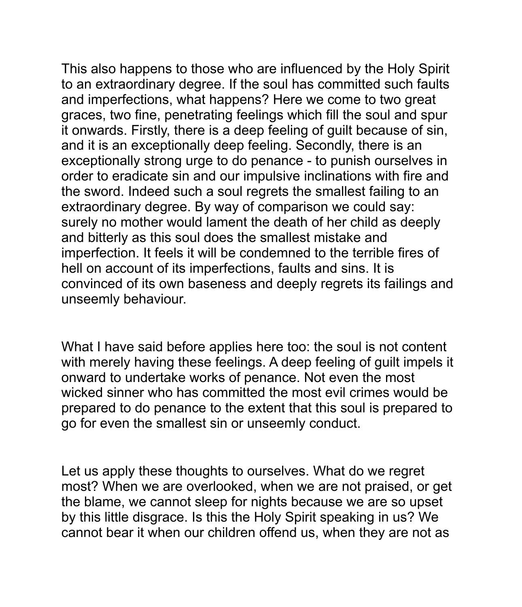This also happens to those who are influenced by the Holy Spirit to an extraordinary degree. If the soul has committed such faults and imperfections, what happens? Here we come to two great graces, two fine, penetrating feelings which fill the soul and spur it onwards. Firstly, there is a deep feeling of guilt because of sin, and it is an exceptionally deep feeling. Secondly, there is an exceptionally strong urge to do penance - to punish ourselves in order to eradicate sin and our impulsive inclinations with fire and the sword. Indeed such a soul regrets the smallest failing to an extraordinary degree. By way of comparison we could say: surely no mother would lament the death of her child as deeply and bitterly as this soul does the smallest mistake and imperfection. It feels it will be condemned to the terrible fires of hell on account of its imperfections, faults and sins. It is convinced of its own baseness and deeply regrets its failings and unseemly behaviour.

What I have said before applies here too: the soul is not content with merely having these feelings. A deep feeling of guilt impels it onward to undertake works of penance. Not even the most wicked sinner who has committed the most evil crimes would be prepared to do penance to the extent that this soul is prepared to go for even the smallest sin or unseemly conduct.

Let us apply these thoughts to ourselves. What do we regret most? When we are overlooked, when we are not praised, or get the blame, we cannot sleep for nights because we are so upset by this little disgrace. Is this the Holy Spirit speaking in us? We cannot bear it when our children offend us, when they are not as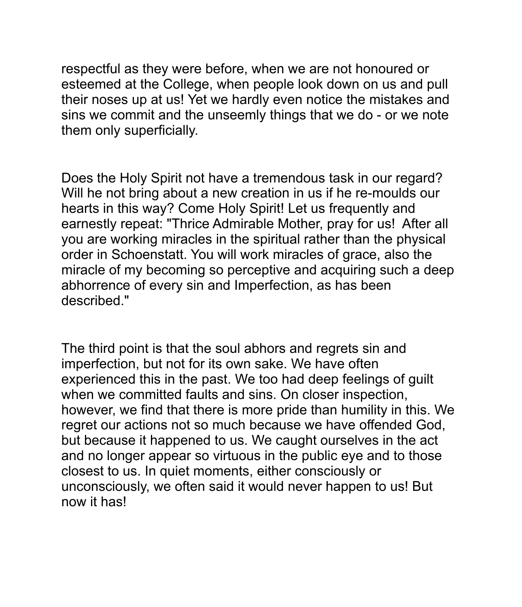respectful as they were before, when we are not honoured or esteemed at the College, when people look down on us and pull their noses up at us! Yet we hardly even notice the mistakes and sins we commit and the unseemly things that we do - or we note them only superficially.

Does the Holy Spirit not have a tremendous task in our regard? Will he not bring about a new creation in us if he re-moulds our hearts in this way? Come Holy Spirit! Let us frequently and earnestly repeat: "Thrice Admirable Mother, pray for us! After all you are working miracles in the spiritual rather than the physical order in Schoenstatt. You will work miracles of grace, also the miracle of my becoming so perceptive and acquiring such a deep abhorrence of every sin and Imperfection, as has been described."

The third point is that the soul abhors and regrets sin and imperfection, but not for its own sake. We have often experienced this in the past. We too had deep feelings of guilt when we committed faults and sins. On closer inspection, however, we find that there is more pride than humility in this. We regret our actions not so much because we have offended God, but because it happened to us. We caught ourselves in the act and no longer appear so virtuous in the public eye and to those closest to us. In quiet moments, either consciously or unconsciously, we often said it would never happen to us! But now it has!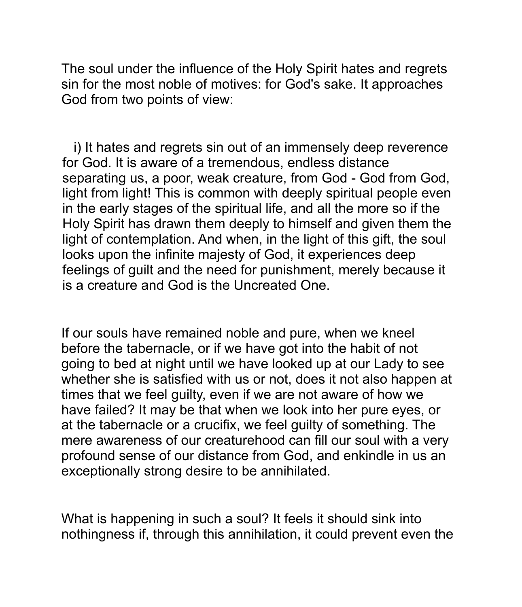The soul under the influence of the Holy Spirit hates and regrets sin for the most noble of motives: for God's sake. It approaches God from two points of view:

i) It hates and regrets sin out of an immensely deep reverence for God. It is aware of a tremendous, endless distance separating us, a poor, weak creature, from God - God from God, light from light! This is common with deeply spiritual people even in the early stages of the spiritual life, and all the more so if the Holy Spirit has drawn them deeply to himself and given them the light of contemplation. And when, in the light of this gift, the soul looks upon the infinite majesty of God, it experiences deep feelings of guilt and the need for punishment, merely because it is a creature and God is the Uncreated One.

If our souls have remained noble and pure, when we kneel before the tabernacle, or if we have got into the habit of not going to bed at night until we have looked up at our Lady to see whether she is satisfied with us or not, does it not also happen at times that we feel guilty, even if we are not aware of how we have failed? It may be that when we look into her pure eyes, or at the tabernacle or a crucifix, we feel guilty of something. The mere awareness of our creaturehood can fill our soul with a very profound sense of our distance from God, and enkindle in us an exceptionally strong desire to be annihilated.

What is happening in such a soul? It feels it should sink into nothingness if, through this annihilation, it could prevent even the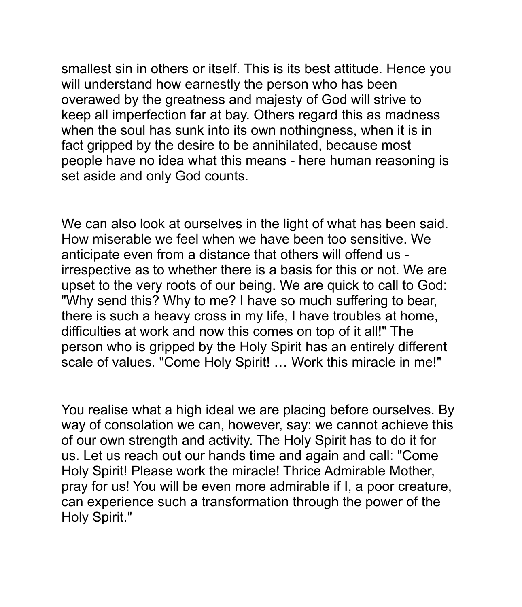smallest sin in others or itself. This is its best attitude. Hence you will understand how earnestly the person who has been overawed by the greatness and majesty of God will strive to keep all imperfection far at bay. Others regard this as madness when the soul has sunk into its own nothingness, when it is in fact gripped by the desire to be annihilated, because most people have no idea what this means - here human reasoning is set aside and only God counts.

We can also look at ourselves in the light of what has been said. How miserable we feel when we have been too sensitive. We anticipate even from a distance that others will offend us irrespective as to whether there is a basis for this or not. We are upset to the very roots of our being. We are quick to call to God: "Why send this? Why to me? I have so much suffering to bear, there is such a heavy cross in my life, I have troubles at home, difficulties at work and now this comes on top of it all!" The person who is gripped by the Holy Spirit has an entirely different scale of values. "Come Holy Spirit! … Work this miracle in me!"

You realise what a high ideal we are placing before ourselves. By way of consolation we can, however, say: we cannot achieve this of our own strength and activity. The Holy Spirit has to do it for us. Let us reach out our hands time and again and call: "Come Holy Spirit! Please work the miracle! Thrice Admirable Mother, pray for us! You will be even more admirable if I, a poor creature, can experience such a transformation through the power of the Holy Spirit."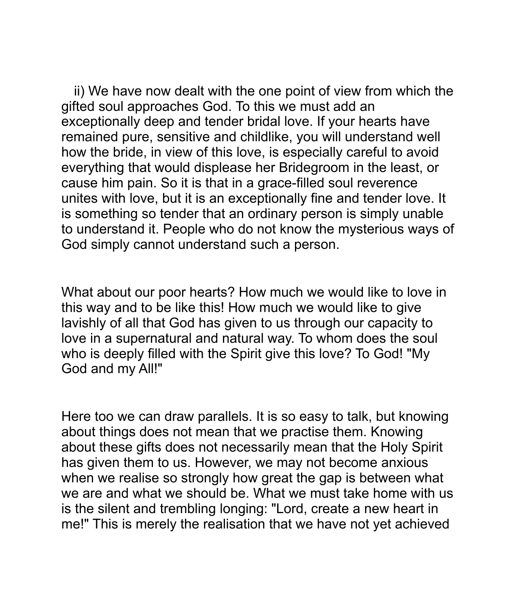ii) We have now dealt with the one point of view from which the gifted soul approaches God. To this we must add an exceptionally deep and tender bridal love. If your hearts have remained pure, sensitive and childlike, you will understand well how the bride, in view of this love, is especially careful to avoid everything that would displease her Bridegroom in the least, or cause him pain. So it is that in a grace-filled soul reverence unites with love, but it is an exceptionally fine and tender love. It is something so tender that an ordinary person is simply unable to understand it. People who do not know the mysterious ways of God simply cannot understand such a person.

What about our poor hearts? How much we would like to love in this way and to be like this! How much we would like to give lavishly of all that God has given to us through our capacity to love in a supernatural and natural way. To whom does the soul who is deeply filled with the Spirit give this love? To God! "My God and my All!"

Here too we can draw parallels. It is so easy to talk, but knowing about things does not mean that we practise them. Knowing about these gifts does not necessarily mean that the Holy Spirit has given them to us. However, we may not become anxious when we realise so strongly how great the gap is between what we are and what we should be. What we must take home with us is the silent and trembling longing: "Lord, create a new heart in me!" This is merely the realisation that we have not yet achieved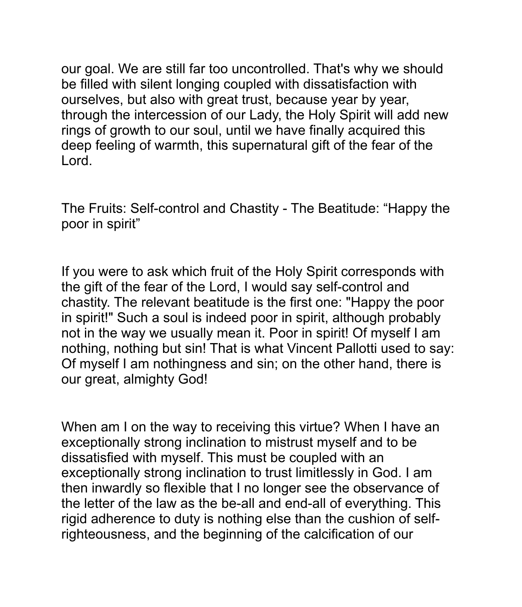our goal. We are still far too uncontrolled. That's why we should be filled with silent longing coupled with dissatisfaction with ourselves, but also with great trust, because year by year, through the intercession of our Lady, the Holy Spirit will add new rings of growth to our soul, until we have finally acquired this deep feeling of warmth, this supernatural gift of the fear of the Lord.

The Fruits: Self-control and Chastity - The Beatitude: "Happy the poor in spirit"

If you were to ask which fruit of the Holy Spirit corresponds with the gift of the fear of the Lord, I would say self-control and chastity. The relevant beatitude is the first one: "Happy the poor in spirit!" Such a soul is indeed poor in spirit, although probably not in the way we usually mean it. Poor in spirit! Of myself I am nothing, nothing but sin! That is what Vincent Pallotti used to say: Of myself I am nothingness and sin; on the other hand, there is our great, almighty God!

When am I on the way to receiving this virtue? When I have an exceptionally strong inclination to mistrust myself and to be dissatisfied with myself. This must be coupled with an exceptionally strong inclination to trust limitlessly in God. I am then inwardly so flexible that I no longer see the observance of the letter of the law as the be-all and end-all of everything. This rigid adherence to duty is nothing else than the cushion of selfrighteousness, and the beginning of the calcification of our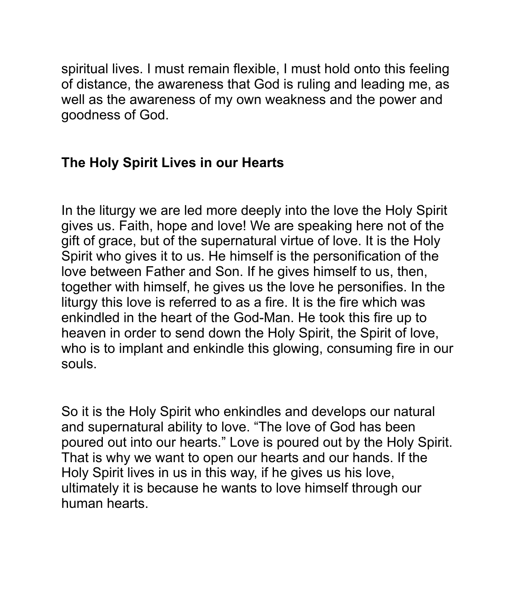spiritual lives. I must remain flexible, I must hold onto this feeling of distance, the awareness that God is ruling and leading me, as well as the awareness of my own weakness and the power and goodness of God.

## **The Holy Spirit Lives in our Hearts**

In the liturgy we are led more deeply into the love the Holy Spirit gives us. Faith, hope and love! We are speaking here not of the gift of grace, but of the supernatural virtue of love. It is the Holy Spirit who gives it to us. He himself is the personification of the love between Father and Son. If he gives himself to us, then, together with himself, he gives us the love he personifies. In the liturgy this love is referred to as a fire. It is the fire which was enkindled in the heart of the God-Man. He took this fire up to heaven in order to send down the Holy Spirit, the Spirit of love, who is to implant and enkindle this glowing, consuming fire in our souls.

So it is the Holy Spirit who enkindles and develops our natural and supernatural ability to love. "The love of God has been poured out into our hearts." Love is poured out by the Holy Spirit. That is why we want to open our hearts and our hands. If the Holy Spirit lives in us in this way, if he gives us his love, ultimately it is because he wants to love himself through our human hearts.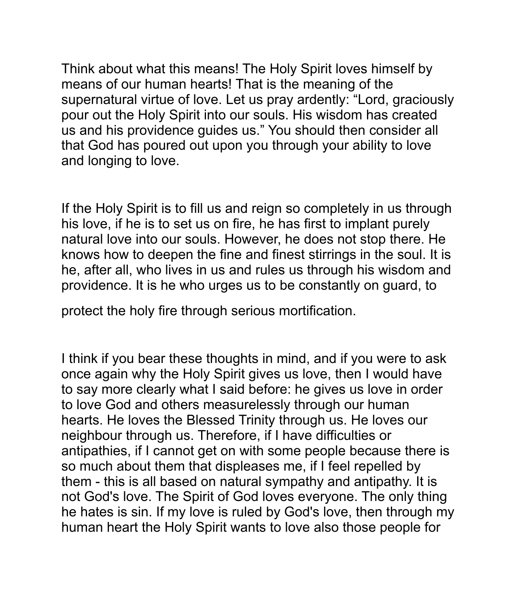Think about what this means! The Holy Spirit loves himself by means of our human hearts! That is the meaning of the supernatural virtue of love. Let us pray ardently: "Lord, graciously pour out the Holy Spirit into our souls. His wisdom has created us and his providence guides us." You should then consider all that God has poured out upon you through your ability to love and longing to love.

If the Holy Spirit is to fill us and reign so completely in us through his love, if he is to set us on fire, he has first to implant purely natural love into our souls. However, he does not stop there. He knows how to deepen the fine and finest stirrings in the soul. It is he, after all, who lives in us and rules us through his wisdom and providence. It is he who urges us to be constantly on guard, to

protect the holy fire through serious mortification.

I think if you bear these thoughts in mind, and if you were to ask once again why the Holy Spirit gives us love, then I would have to say more clearly what I said before: he gives us love in order to love God and others measurelessly through our human hearts. He loves the Blessed Trinity through us. He loves our neighbour through us. Therefore, if I have difficulties or antipathies, if I cannot get on with some people because there is so much about them that displeases me, if I feel repelled by them - this is all based on natural sympathy and antipathy. It is not God's love. The Spirit of God loves everyone. The only thing he hates is sin. If my love is ruled by God's love, then through my human heart the Holy Spirit wants to love also those people for